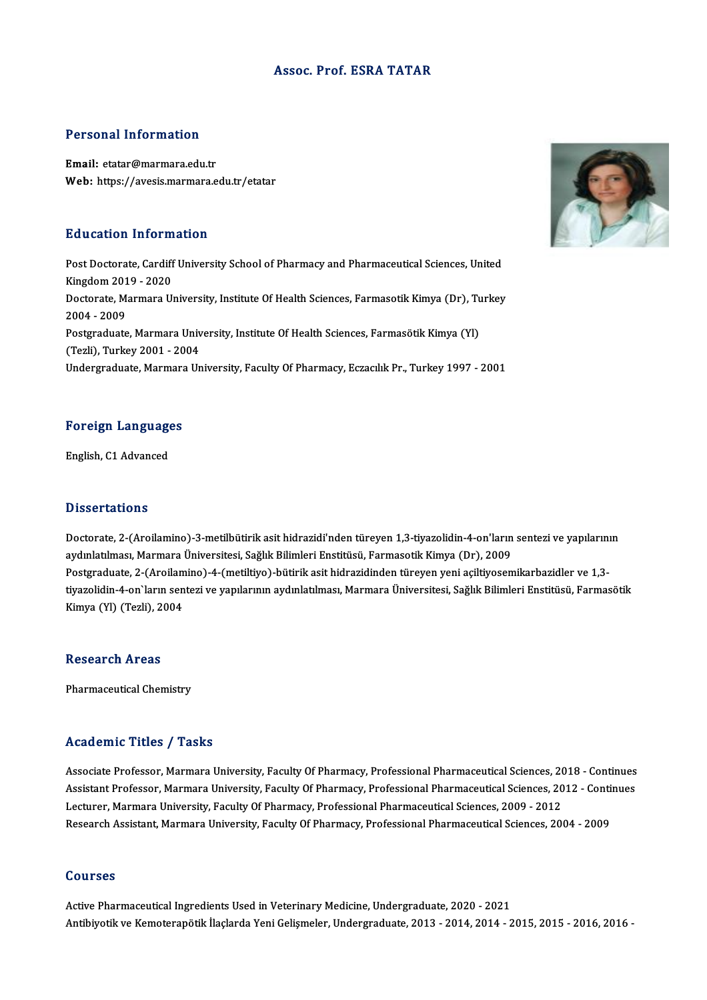#### Assoc. Prof. ESRA TATAR

#### Personal Information

Email: etatar@marmara.edu.tr Web: https://avesis.marmara.edu.tr/etatar

#### Education Information

E**ducation Information**<br>Post Doctorate, Cardiff University School of Pharmacy and Pharmaceutical Sciences, United<br>Kingdom 2019, 2020 Mateution Information<br>Post Doctorate, Cardiff<br>Kingdom 2019 - 2020<br>Doctorate Marmara Ur Post Doctorate, Cardiff University School of Pharmacy and Pharmaceutical Sciences, United<br>Kingdom 2019 - 2020<br>Doctorate, Marmara University, Institute Of Health Sciences, Farmasotik Kimya (Dr), Turkey<br>2004 - 2009 Kingdom 2019 - 2020<br>Doctorate, Marmara University, Institute Of Health Sciences, Farmasotik Kimya (Dr), Ti<br>2004 - 2009<br>Postgraduate, Marmara University, Institute Of Health Sciences, Farmasötik Kimya (Yl) Doctorate, Marmara University, Institute Of Health Sciences, Farmasotik Kimya (Dr), Tu<br>2004 - 2009<br>Postgraduate, Marmara University, Institute Of Health Sciences, Farmasötik Kimya (Yl)<br>(Teali), Turkey 2001 - 2004 (Tezli),Turkey2001 -2004 Undergraduate, Marmara University, Faculty Of Pharmacy, Eczacılık Pr., Turkey 1997 - 2001

# Foreign Languages <mark>Foreign Languag</mark><br>English, C1 Advanced

English, C1 Advanced<br>Dissertations

Dissertations<br>Doctorate, 2-(Aroilamino)-3-metilbütirik asit hidrazidi'nden türeyen 1,3-tiyazolidin-4-on'ların sentezi ve yapılarının<br>avdıplatılması, Marmara Üniversitesi, Sağlık Bilimleri Enstitüsü, Farmasetik Kimya (Dr.), 2 1999't tatroma<br>Doctorate, 2-(Aroilamino)-3-metilbütirik asit hidrazidi'nden türeyen 1,3-tiyazolidin-4-on'ların<br>aydınlatılması, Marmara Üniversitesi, Sağlık Bilimleri Enstitüsü, Farmasotik Kimya (Dr), 2009<br>Postaraduata 2 Doctorate, 2-(Aroilamino)-3-metilbütirik asit hidrazidi'nden türeyen 1,3-tiyazolidin-4-on'ların sentezi ve yapılarını<br>aydınlatılması, Marmara Üniversitesi, Sağlık Bilimleri Enstitüsü, Farmasotik Kimya (Dr), 2009<br>Postgradua aydınlatılması, Marmara Üniversitesi, Sağlık Bilimleri Enstitüsü, Farmasotik Kimya (Dr), 2009<br>Postgraduate, 2-(Aroilamino)-4-(metiltiyo)-bütirik asit hidrazidinden türeyen yeni açiltiyosemikarbazidler ve 1,3-<br>tiyazolidin-4 Postgraduate, 2-(Aroilam<br>tiyazolidin-4-on`ların sen<br>Kimya (Yl) (Tezli), 2004 Kimya (Yl) (Tezli), 2004<br>Research Areas

Pharmaceutical Chemistry

#### Academic Titles / Tasks

Academic Titles / Tasks<br>Associate Professor, Marmara University, Faculty Of Pharmacy, Professional Pharmaceutical Sciences, 2018 - Continues<br>Assistant Professor, Marmara University, Faculty Of Pharmacy, Professional Pharma Associate Professor, Marmara University, Faculty Of Pharmacy, Professional Pharmaceutical Sciences, 2018 - Continues<br>Assistant Professor, Marmara University, Faculty Of Pharmacy, Professional Pharmaceutical Sciences, 2012 Associate Professor, Marmara University, Faculty Of Pharmacy, Professional Pharmaceutical Sciences, 20<br>Assistant Professor, Marmara University, Faculty Of Pharmacy, Professional Pharmaceutical Sciences, 20<br>Lecturer, Marmar Assistant Professor, Marmara University, Faculty Of Pharmacy, Professional Pharmaceutical Sciences, 2012 - Continues<br>Lecturer, Marmara University, Faculty Of Pharmacy, Professional Pharmaceutical Sciences, 2009 - 2012<br>Rese

#### Courses

Active Pharmaceutical Ingredients Used in Veterinary Medicine, Undergraduate, 2020 - 2021 Antibiyotik ve Kemoterapötik İlaçlarda Yeni Gelişmeler, Undergraduate, 2013 - 2014, 2014 - 2015, 2015 - 2016, 2016 -

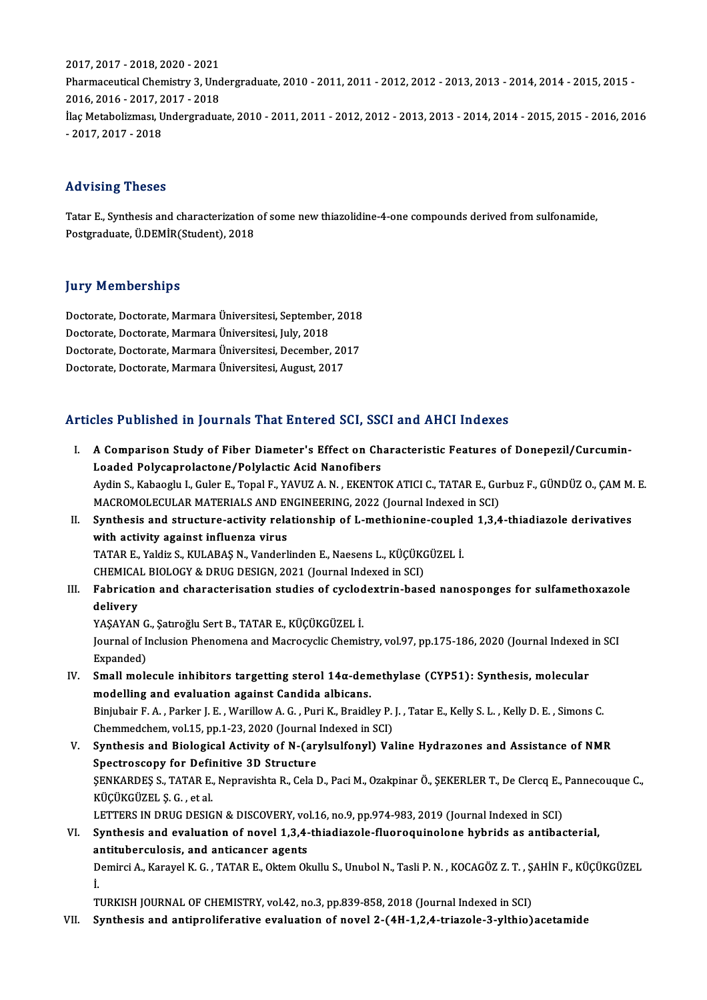2017,2017 -2018,2020 -2021 2017, 2017 - 2018, 2020 - 2021<br>Pharmaceutical Chemistry 3, Undergraduate, 2010 - 2011, 2011 - 2012, 2012 - 2013, 2013 - 2014, 2014 - 2015, 2015 -<br>2016, 2016, 2017, 2017, 2019 2017, 2017 - 2018, 2020 - 2021<br>Pharmaceutical Chemistry 3, Und<br>2016, 2016 - 2017, 2017 - 2018<br><sup>Ilos Matabalirmacı, Undargraduc</sup> Pharmaceutical Chemistry 3, Undergraduate, 2010 - 2011, 2011 - 2012, 2012 - 2013, 2013 - 2014, 2014 - 2015, 2015 -<br>2016, 2016 - 2017, 2017 - 2018<br>İlaç Metabolizması, Undergraduate, 2010 - 2011, 2011 - 2012, 2012 - 2013, 20 2016, 2016 - 2017, 2<br>İlaç Metabolizması, U<br>- 2017, 2017 - 2018

# - 2017, 2017 - 2018<br>Advising Theses

Advising Theses<br>Tatar E., Synthesis and characterization of some new thiazolidine-4-one compounds derived from sulfonamide,<br>Restanaduate, <sup>it DEMIR(Student), 2019</sup> rra vienig incece<br>Tatar E., Synthesis and characterization<br>Postgraduate, Ü.DEMİR(Student), 2018 Postgraduate, Ü.DEMİR(Student), 2018<br>Jury Memberships

Jury Memberships<br>Doctorate, Doctorate, Marmara Üniversitesi, September, 2018<br>Doctorate, Doctorate, Marmara Üniversitesi, July 2019 Jury Trembertampo<br>Doctorate, Doctorate, Marmara Üniversitesi, September<br>Doctorate, Doctorate, Marmara Üniversitesi, July, 2018<br>Doctorate, Doctorate, Marmara Üniversitesi, Docember Doctorate, Doctorate, Marmara Üniversitesi, September, 2018<br>Doctorate, Doctorate, Marmara Üniversitesi, July, 2018<br>Doctorate, Doctorate, Marmara Üniversitesi, December, 2017<br>Doctorate, Doctorate, Marmara Üniversitesi, Augu Doctorate, Doctorate, Marmara Üniversitesi, July, 2018<br>Doctorate, Doctorate, Marmara Üniversitesi, December, 2017<br>Doctorate, Doctorate, Marmara Üniversitesi, August, 2017

### Articles Published in Journals That Entered SCI, SSCI and AHCI Indexes

- rticles Published in Journals That Entered SCI, SSCI and AHCI Indexes<br>I. A Comparison Study of Fiber Diameter's Effect on Characteristic Features of Donepezil/Curcumin-Loaded Polycaprolactone/Polylactic Acid Nanofibers<br>Loaded Polycaprolactone/Polylactic Acid Nanofibers<br>Audin S. Kabaaght L. Cular E. Tonal E. VAUUZ A. N. EVENTO A Comparison Study of Fiber Diameter's Effect on Characteristic Features of Donepezil/Curcumin-<br>Loaded Polycaprolactone/Polylactic Acid Nanofibers<br>Aydin S., Kabaoglu I., Guler E., Topal F., YAVUZ A. N. , EKENTOK ATICI C., Loaded Polycaprolactone/Polylactic Acid Nanofibers<br>Aydin S., Kabaoglu I., Guler E., Topal F., YAVUZ A. N. , EKENTOK ATICI C., TATAR E., Gu<br>MACROMOLECULAR MATERIALS AND ENGINEERING, 2022 (Journal Indexed in SCI)<br>Synthesis a Aydin S., Kabaoglu I., Guler E., Topal F., YAVUZ A. N. , EKENTOK ATICI C., TATAR E., Gurbuz F., GÜNDÜZ O., ÇAM M.<br>MACROMOLECULAR MATERIALS AND ENGINEERING, 2022 (Journal Indexed in SCI)<br>II. Synthesis and structure-activity MACROMOLECULAR MATERIALS AND ENGINEERING, 2022 (Journal Indexed in SCI)<br>II. Synthesis and structure-activity relationship of L-methionine-coupled 1,3,4-thiadiazole derivatives<br>with activity against influenza virus Synthesis and structure-activity relationship of L-methionine-couple<br>with activity against influenza virus<br>TATAR E., Yaldiz S., KULABAŞ N., Vanderlinden E., Naesens L., KÜÇÜKGÜZEL İ.<br>CHEMICAL BIOLOCY & DRUC DESICN 2021 (Ja with activity against influenza virus<br>TATAR E., Yaldiz S., KULABAŞ N., Vanderlinden E., Naesens L., KÜÇÜKO<br>CHEMICAL BIOLOGY & DRUG DESIGN, 2021 (Journal Indexed in SCI)<br>Febrisation and characterisation studies of sysledovt TATAR E., Yaldiz S., KULABAŞ N., Vanderlinden E., Naesens L., KÜÇÜKGÜZEL İ.<br>CHEMICAL BIOLOGY & DRUG DESIGN, 2021 (Journal Indexed in SCI)<br>III. Fabrication and characterisation studies of cyclodextrin-based nanosponges f CHEMICA<br>Fabricati<br>delivery<br>VASAYAN Fabrication and characterisation studies of cyclod<br>delivery<br>YAŞAYAN G., Şatıroğlu Sert B., TATAR E., KÜÇÜKGÜZEL İ.<br>Journal of Inclusian Phanomana and Magnogyclis Chamis delivery<br>YAŞAYAN G., Şatıroğlu Sert B., TATAR E., KÜÇÜKGÜZEL İ.<br>Journal of Inclusion Phenomena and Macrocyclic Chemistry, vol.97, pp.175-186, 2020 (Journal Indexed in SCI<br>Evnanded) YAŞAYAN G<br>Journal of I<br>Expanded)<br>Small mole Journal of Inclusion Phenomena and Macrocyclic Chemistry, vol.97, pp.175-186, 2020 (Journal Indexed Expanded)<br>IV. Small molecule inhibitors targetting sterol 14α-demethylase (CYP51): Synthesis, molecular modelling and ev Expanded)<br>IV. Small molecule inhibitors targetting sterol  $14\alpha$ -demethylase (CYP51): Synthesis, molecular<br>modelling and evaluation against Candida albicans. Small molecule inhibitors targetting sterol 14α-demethylase (CYP51): Synthesis, molecular<br>modelling and evaluation against Candida albicans.<br>Binjubair F. A. , Parker J. E. , Warillow A. G. , Puri K., Braidley P. J. , Tata modelling and evaluation against Candida albicans.<br>Binjubair F. A. , Parker J. E. , Warillow A. G. , Puri K., Braidley P.<br>Chemmedchem, vol.15, pp.1-23, 2020 (Journal Indexed in SCI)<br>Synthesis and Biological Activity of N. Binjubair F. A., Parker J. E., Warillow A. G., Puri K., Braidley P. J., Tatar E., Kelly S. L., Kelly D. E., Simons C.<br>Chemmedchem, vol.15, pp.1-23, 2020 (Journal Indexed in SCI)<br>V. Synthesis and Biological Activity of N-(a Chemmedchem, vol.15, pp.1-23, 2020 (Journal<br>Synthesis and Biological Activity of N-(ary<br>Spectroscopy for Definitive 3D Structure Synthesis and Biological Activity of N-(arylsulfonyl) Valine Hydrazones and Assistance of NMR<br>Spectroscopy for Definitive 3D Structure<br>ŞENKARDEŞ S., TATAR E., Nepravishta R., Cela D., Paci M., Ozakpinar Ö., ŞEKERLER T., De Spectroscopy for Definitive 3D Structure<br>ŞENKARDEŞ S., TATAR E., Nepravishta R., Cela D., Paci M., Ozakpinar Ö., ŞEKERLER T., De Clercq E., Pannecouque C.,<br>KÜÇÜKGÜZEL Ş. G. , et al. ŞENKARDEŞ S., TATAR E., Nepravishta R., Cela D., Paci M., Ozakpinar Ö., ŞEKERLER T., De Clercq E.,<br>KÜÇÜKGÜZEL Ş. G. , et al.<br>LETTERS IN DRUG DESIGN & DISCOVERY, vol.16, no.9, pp.974-983, 2019 (Journal Indexed in SCI)<br>Synth KÜÇÜKGÜZEL Ş. G. , et al.<br>LETTERS IN DRUG DESIGN & DISCOVERY, vol.16, no.9, pp.974-983, 2019 (Journal Indexed in SCI)<br>VI. Synthesis and evaluation of novel 1,3,4-thiadiazole-fluoroquinolone hybrids as antibacterial,<br>antitu LETTERS IN DRUG DESIGN & DISCOVERY, vo<br>Synthesis and evaluation of novel 1,3,4-<br>antituberculosis, and anticancer agents<br>Dominsi A. Kanavel K. G., TATAB E. Oltem Ol VI. Synthesis and evaluation of novel 1,3,4-thiadiazole-fluoroquinolone hybrids as antibacterial,<br>antituberculosis, and anticancer agents<br>Demirci A., Karayel K. G. , TATAR E., Oktem Okullu S., Unubol N., Tasli P. N. , KOCA ai<br>D<br>I. TURKISH JOURNAL OF CHEMISTRY, vol.42, no.3, pp.839-858, 2018 (Journal Indexed in SCI)
- VII. Synthesis and antiproliferative evaluation of novel 2-(4H-1,2,4-triazole-3-ylthio) acetamide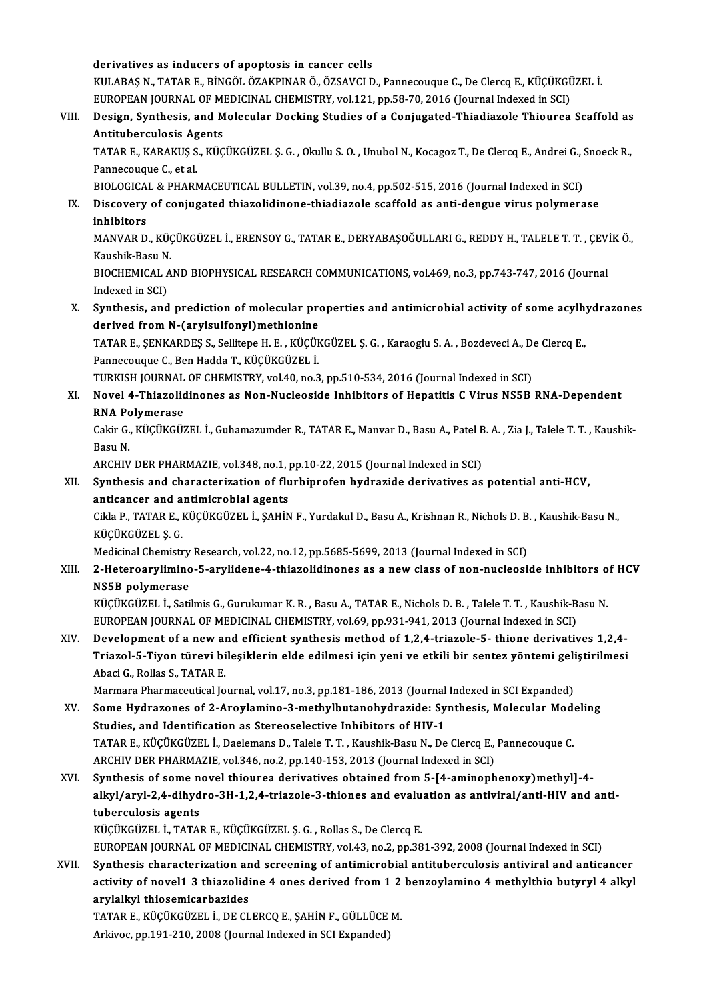derivatives as inducers of apoptosis in cancer cells derivatives as inducers of apoptosis in cancer cells<br>KULABAŞ N., TATAR E., BİNGÖL ÖZAKPINAR Ö., ÖZSAVCI D., Pannecouque C., De Clercq E., KÜÇÜKGÜZEL İ.<br>FUROPEAN JOUPNAL OF MEDICINAL CHEMISTRY, vel 121 pp 58.70, 2016 (Journ derivatives as inducers of apoptosis in cancer cells<br>KULABAŞ N., TATAR E., BİNGÖL ÖZAKPINAR Ö., ÖZSAVCI D., Pannecouque C., De Clercq E., KÜÇÜKGÜ<br>EUROPEAN JOURNAL OF MEDICINAL CHEMISTRY, vol.121, pp.58-70, 2016 (Journal In KULABAŞ N., TATAR E., BİNGÖL ÖZAKPINAR Ö., ÖZSAVCI D., Pannecouque C., De Clercq E., KÜÇÜKGÜZEL İ.<br>EUROPEAN JOURNAL OF MEDICINAL CHEMISTRY, vol.121, pp.58-70, 2016 (Journal Indexed in SCI)<br>VIII. Design, Synthesis, and Mole EUROPEAN JOURNAL OF MI<br>Design, Synthesis, and M<br>Antituberculosis Agents<br>TATAP F. KARAKUS S. KÜC Design, Synthesis, and Molecular Docking Studies of a Conjugated-Thiadiazole Thiourea Scaffold as<br>Antituberculosis Agents<br>TATAR E., KARAKUŞ S., KÜÇÜKGÜZEL Ş. G. , Okullu S. O. , Unubol N., Kocagoz T., De Clercq E., Andrei Antituberculosis Ag<br>TATAR E., KARAKUŞ S<br>Pannecouque C., et al.<br>PIOLOCICAL & PHAPA TATAR E., KARAKUŞ S., KÜÇÜKGÜZEL Ş. G. , Okullu S. O. , Unubol N., Kocagoz T., De Clercq E., Andrei G., :<br>Pannecouque C., et al.<br>BIOLOGICAL & PHARMACEUTICAL BULLETIN, vol.39, no.4, pp.502-515, 2016 (Journal Indexed in SCI) Pannecouque C., et al.<br>BIOLOGICAL & PHARMACEUTICAL BULLETIN, vol.39, no.4, pp.502-515, 2016 (Journal Indexed in SCI)<br>IX. Discovery of conjugated thiazolidinone-thiadiazole scaffold as anti-dengue virus polymerase<br>inhib BIOLOGICA<br>Discovery<br>inhibitors<br>MANVAR D Discovery of conjugated thiazolidinone-thiadiazole scaffold as anti-dengue virus polymerase<br>inhibitors<br>MANVAR D., KÜÇÜKGÜZEL İ., ERENSOY G., TATAR E., DERYABAŞOĞULLARI G., REDDY H., TALELE T. T. , ÇEVİK Ö.,<br>Kayabik Pasu N inhibitors<br>MANVAR D., KÜÇÜKGÜZEL İ., ERENSOY G., TATAR E., DERYABAŞOĞULLARI G., REDDY H., TALELE T. T. , ÇEVİK Ö.,<br>Kaushik-Basu N. MANVAR D., KÜÇÜKGÜZEL İ., ERENSOY G., TATAR E., DERYABAŞOĞULLARI G., REDDY H., TALELE T. T. , ÇEV.<br>Kaushik-Basu N.<br>BIOCHEMICAL AND BIOPHYSICAL RESEARCH COMMUNICATIONS, vol.469, no.3, pp.743-747, 2016 (Journal<br>Indeved in SC Kaushik-Basu N<br>BIOCHEMICAL *I*<br>Indexed in SCI)<br>Sunthesis, and BIOCHEMICAL AND BIOPHYSICAL RESEARCH COMMUNICATIONS, vol.469, no.3, pp.743-747, 2016 (Journal<br>Indexed in SCI)<br>X. Synthesis, and prediction of molecular properties and antimicrobial activity of some acylhydrazones<br>dorived f Indexed in SCI)<br>Synthesis, and prediction of molecular prediction<br>derived from N-(arylsulfonyl)methionine<br>TATAR E. SENKARDES S. Sollitone H. E., KÜÇÜL Synthesis, and prediction of molecular properties and antimicrobial activity of some acylh<br>derived from N-(arylsulfonyl)methionine<br>TATAR E., ŞENKARDEŞ S., Sellitepe H. E. , KÜÇÜKGÜZEL Ş. G. , Karaoglu S. A. , Bozdeveci A., derived from N-(arylsulfonyl)methionine<br>TATAR E., ŞENKARDEŞ S., Sellitepe H. E. , KÜÇÜK<br>Pannecouque C., Ben Hadda T., KÜÇÜKGÜZEL İ.<br>TURKISH JOURNAL OE CHEMISTRY .val 40 no 3 TATAR E., ŞENKARDEŞ S., Sellitepe H. E. , KÜÇÜKGÜZEL Ş. G. , Karaoglu S. A. , Bozdeveci A., D.<br>Pannecouque C., Ben Hadda T., KÜÇÜKGÜZEL İ.<br>TURKISH JOURNAL OF CHEMISTRY, vol.40, no.3, pp.510-534, 2016 (Journal Indexed in SC Pannecouque C., Ben Hadda T., KÜÇÜKGÜZEL İ.<br>TURKISH JOURNAL OF CHEMISTRY, vol.40, no.3, pp.510-534, 2016 (Journal Indexed in SCI)<br>XI. Novel 4-Thiazolidinones as Non-Nucleoside Inhibitors of Hepatitis C Virus NS5B RNA-D TURKISH JOURNAL OF CHEMISTRY, vol.40, no.3, pp.510-534, 2016 (Journal Indexed in SCI)<br>Novel 4-Thiazolidinones as Non-Nucleoside Inhibitors of Hepatitis C Virus NS5B<br>RNA Polymerase Novel 4-Thiazolidinones as Non-Nucleoside Inhibitors of Hepatitis C Virus NS5B RNA-Dependent<br>RNA Polymerase<br>Cakir G., KÜÇÜKGÜZEL İ., Guhamazumder R., TATAR E., Manvar D., Basu A., Patel B. A. , Zia J., Talele T. T. , Kaush Cakir G., KÜÇÜKGÜZEL İ., Guhamazumder R., TATAR E., Manvar D., Basu A., Patel B. A. , Zia J., Talele T. T. , Kaushik-<br>Basu N. Cakir G., KÜÇÜKGÜZEL İ., Guhamazumder R., TATAR E., Manvar D., Basu A., Patel B<br>Basu N.<br>ARCHIV DER PHARMAZIE, vol.348, no.1, pp.10-22, 2015 (Journal Indexed in SCI)<br>Synthesis and sharasterization of flurbingsfon hydrogide XII. Synthesis and characterization of flurbiprofen hydrazide derivatives as potential anti-HCV, ARCHIV DER PHARMAZIE, vol.348, no.1, 1<br>Synthesis and characterization of flu<br>anticancer and antimicrobial agents<br>Girla B. TATAR E. Küçükçüzet i. SAHİN Cikla P., TATAR E., KÜÇÜKGÜZEL İ., ŞAHİN F., Yurdakul D., Basu A., Krishnan R., Nichols D. B. , Kaushik-Basu N.,<br>KÜÇÜKGÜZEL Ş. G. anticancer and antimicrobial agents Cikla P., TATAR E., KÜÇÜKGÜZEL İ., ŞAHİN F., Yurdakul D., Basu A., Krishnan R., Nichols D. B<br>KÜÇÜKGÜZEL Ş. G.<br>Medicinal Chemistry Research, vol.22, no.12, pp.5685-5699, 2013 (Journal Indexed in SCI)<br>2. Hetaroarylimine, E. XIII. 2-Heteroarylimino-5-arylidene-4-thiazolidinones as a new class of non-nucleoside inhibitors of HCV<br>NS5B polymerase Medicinal Chemistry<br>2-Heteroarylimino<br>NS5B polymerase<br>*viciuciu*zel i Seti 2-Heteroarylimino-5-arylidene-4-thiazolidinones as a new class of non-nucleoside inhibitors o<br>NS5B polymerase<br>KÜÇÜKGÜZEL İ., Satilmis G., Gurukumar K. R. , Basu A., TATAR E., Nichols D. B. , Talele T. T. , Kaushik-Basu N<br>F NS5B polymerase<br>KÜÇÜKGÜZEL İ., Satilmis G., Gurukumar K. R. , Basu A., TATAR E., Nichols D. B. , Talele T. T. , Kaushik-B<br>EUROPEAN JOURNAL OF MEDICINAL CHEMISTRY, vol.69, pp.931-941, 2013 (Journal Indexed in SCI)<br>Povelopme KÜÇÜKGÜZEL İ., Satilmis G., Gurukumar K. R. , Basu A., TATAR E., Nichols D. B. , Talele T. T. , Kaushik-Basu N.<br>EUROPEAN JOURNAL OF MEDICINAL CHEMISTRY, vol.69, pp.931-941, 2013 (Journal Indexed in SCI)<br>XIV. Development of EUROPEAN JOURNAL OF MEDICINAL CHEMISTRY, vol.69, pp.931-941, 2013 (Journal Indexed in SCI)<br>Development of a new and efficient synthesis method of 1,2,4-triazole-5- thione derivatives 1,2,4-<br>Triazol-5-Tiyon türevi bileşikle Development of a new al<br>Triazol-5-Tiyon türevi bi<br>Abaci G., Rollas S., TATAR E.<br>Marmara Bharmagautical Io Triazol-5-Tiyon türevi bileşiklerin elde edilmesi için yeni ve etkili bir sentez yöntemi geli<br>Abaci G., Rollas S., TATAR E.<br>Marmara Pharmaceutical Journal, vol.17, no.3, pp.181-186, 2013 (Journal Indexed in SCI Expanded)<br>S Abaci G., Rollas S., TATAR E.<br>Marmara Pharmaceutical Journal, vol.17, no.3, pp.181-186, 2013 (Journal Indexed in SCI Expanded)<br>XV. Some Hydrazones of 2-Aroylamino-3-methylbutanohydrazide: Synthesis, Molecular Modeling<br>Stud Marmara Pharmaceutical Journal, vol.17, no.3, pp.181-186, 2013 (Journal Indexed in SCI Expanded)<br>Some Hydrazones of 2-Aroylamino-3-methylbutanohydrazide: Synthesis, Molecular Mod<br>Studies, and Identification as Stereoselect Some Hydrazones of 2-Aroylamino-3-methylbutanohydrazide: Synthesis, Molecular Mod<br>Studies, and Identification as Stereoselective Inhibitors of HIV-1<br>TATAR E., KÜÇÜKGÜZEL İ., Daelemans D., Talele T. T. , Kaushik-Basu N., De ARCHIV DER PHARMAZIE, vol.346, no.2, pp.140-153, 2013 (Journal Indexed in SCI) TATAR E., KÜÇÜKGÜZEL İ., Daelemans D., Talele T. T. , Kaushik-Basu N., De Clercq E., Pannecouque C.<br>ARCHIV DER PHARMAZIE, vol.346, no.2, pp.140-153, 2013 (Journal Indexed in SCI)<br>XVI. Synthesis of some novel thiourea deriv ARCHIV DER PHARMAZIE, vol.346, no.2, pp.140-153, 2013 (Journal Indexed in SCI)<br>Synthesis of some novel thiourea derivatives obtained from 5-[4-aminophenoxy)methyl]-4-<br>alkyl/aryl-2,4-dihydro-3H-1,2,4-triazole-3-thiones and Synthesis of some n<br>alkyl/aryl-2,4-dihyd<br>tuberculosis agents<br>vücüvcüzet i TATA alkyl/aryl-2,4-dihydro-3H-1,2,4-triazole-3-thiones and evalu<br>tuberculosis agents<br>KÜÇÜKGÜZEL İ., TATAR E., KÜÇÜKGÜZEL Ş.G. , Rollas S., De Clercq E.<br>EUROPEAN JOURNAL OF MEDICINAL GUEMISTRY vel 43-no 3-nn 39 tuberculosis agents<br>KÜÇÜKGÜZEL İ., TATAR E., KÜÇÜKGÜZEL Ş. G. , Rollas S., De Clercq E.<br>EUROPEAN JOURNAL OF MEDICINAL CHEMISTRY, vol.43, no.2, pp.381-392, 2008 (Journal Indexed in SCI) XVII. Synthesis characterization and screening of antimicrobial antituberculosis antiviral and anticancer EUROPEAN JOURNAL OF MEDICINAL CHEMISTRY, vol.43, no.2, pp.381-392, 2008 (Journal Indexed in SCI)<br>Synthesis characterization and screening of antimicrobial antituberculosis antiviral and anticancer<br>activity of novel1 3 thia Synthesis characterization an<br>activity of novel1 3 thiazolidi<br>arylalkyl thiosemicarbazides<br>TATAR E *VÜCÜVCÜZEL*L DECL activity of novel1 3 thiazolidine 4 ones derived from 1 2<br>arylalkyl thiosemicarbazides<br>TATAR E., KÜÇÜKGÜZEL İ., DE CLERCQ E., ŞAHİN F., GÜLLÜCE M.<br>Arkives an 191 210 2008 (Jaunnal Indexed in SCLErnanded) arylalkyl thiosemicarbazides<br>TATAR E., KÜÇÜKGÜZEL İ., DE CLERCQ E., ŞAHİN F., GÜLLÜCE M.<br>Arkivoc, pp.191-210, 2008 (Journal Indexed in SCI Expanded)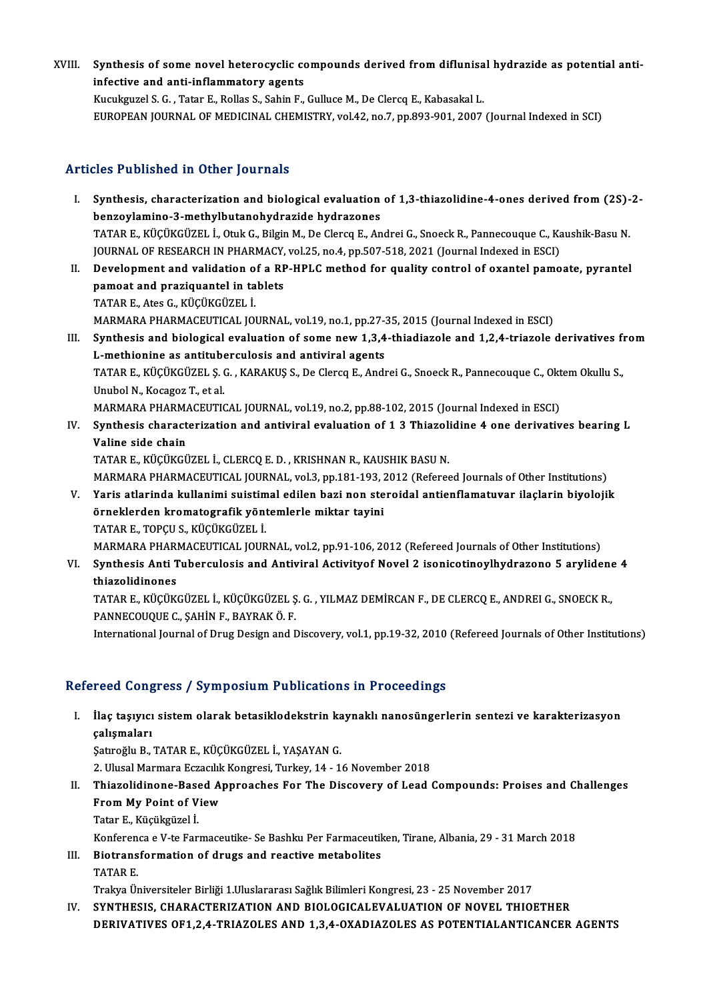XVIII. Synthesis of some novel heterocyclic compounds derived from diflunisal hydrazide as potential anti-<br>infective and anti-inflammatery esents Synthesis of some novel heterocyclic contributions of some novel heterocyclic contributions of the state of the state  $\Gamma$ infective and anti-inflammatory agents<br>Kucukguzel S. G. , Tatar E., Rollas S., Sahin F., Gulluce M., De Clercq E., Kabasakal L.

EUROPEAN JOURNAL OF MEDICINAL CHEMISTRY, vol.42, no.7, pp.893-901, 2007 (Journal Indexed in SCI)

## Articles Published in Other Journals

- I. Synthesis, characterization and biological evaluation of 1,3-thiazolidine-4-ones derived from (2S)-2-<br>hengevlamine 3 methylbutanehydragide bydragenes benzo i dishence in centri journales<br>Synthesis, characterization and biological evaluation<br>benzoylamino-3-methylbutanohydrazide hydrazones<br>TATAR E. KÜÇÜKÇÜZELİ Oruk G. Bilgin M. De Clares E. An Synthesis, characterization and biological evaluation of 1,3-thiazolidine-4-ones derived from (2S)-<br>benzoylamino-3-methylbutanohydrazide hydrazones<br>TATAR E., KÜÇÜKGÜZEL İ., Otuk G., Bilgin M., De Clercq E., Andrei G., Snoe benzoylamino-3-methylbutanohydrazide hydrazones<br>TATAR E., KÜÇÜKGÜZEL İ., Otuk G., Bilgin M., De Clercq E., Andrei G., Snoeck R., Pannecouque C., Ka<br>JOURNAL OF RESEARCH IN PHARMACY, vol.25, no.4, pp.507-518, 2021 (Journal I TATAR E., KÜÇÜKGÜZEL İ., Otuk G., Bilgin M., De Clercq E., Andrei G., Snoeck R., Pannecouque C., Kaushik-Basu N.<br>JOURNAL OF RESEARCH IN PHARMACY, vol.25, no.4, pp.507-518, 2021 (Journal Indexed in ESCI)<br>II. Development and
- JOURNAL OF RESEARCH IN PHARMACY, vol.25, no.4, pp.507-518, 2021 (Journal Indexed in ESCI)<br>Development and validation of a RP-HPLC method for quality control of oxantel pamo<br>pamoat and praziquantel in tablets<br>TATAR E., Ates Development and validation o<br>pamoat and praziquantel in ta<br>TATAR E., Ates G., KÜÇÜKGÜZEL İ.<br>MARMARA PHARMAÇEUTICAL IQI pamoat and praziquantel in tablets<br>TATAR E., Ates G., KÜÇÜKGÜZEL İ.<br>MARMARA PHARMACEUTICAL JOURNAL, vol.19, no.1, pp.27-35, 2015 (Journal Indexed in ESCI)<br>Synthesis and biologisel evoluation of some now 1.3.4, thiodiarele ITATAR E., Ates G., KÜÇÜKGÜZEL İ.<br>MARMARA PHARMACEUTICAL JOURNAL, vol.19, no.1, pp.27-35, 2015 (Journal Indexed in ESCI)<br>II. Synthesis and biological evaluation of some new 1,3,4-thiadiazole and 1,2,4-triazole derivatives
- MARMARA PHARMACEUTICAL JOURNAL, vol.19, no.1, pp.27-3<br>Synthesis and biological evaluation of some new 1,3,4<br>L-methionine as antituberculosis and antiviral agents<br>TATAR E, VÜCÜVCÜZELS C, MARAVUSS, De Clarge E, Andr Synthesis and biological evaluation of some new 1,3,4-thiadiazole and 1,2,4-triazole derivatives fi<br>L-methionine as antituberculosis and antiviral agents<br>TATAR E., KÜÇÜKGÜZEL Ş. G. , KARAKUŞ S., De Clercq E., Andrei G., Sn L-methionine as antituberculosis and antiviral agents<br>TATAR E., KÜÇÜKGÜZEL Ş. G. , KARAKUŞ S., De Clercq E., Andrei G., Snoeck R., Pannecouque C., Oktem Okullu S.,<br>Unubol N., Kocagoz T., et al. TATAR E., KÜÇÜKGÜZEL Ş. G. , KARAKUŞ S., De Clercq E., Andrei G., Snoeck R., Pannecouque C., Okt<br>Unubol N., Kocagoz T., et al.<br>MARMARA PHARMACEUTICAL JOURNAL, vol.19, no.2, pp.88-102, 2015 (Journal Indexed in ESCI)<br>Synthes Unubol N., Kocagoz T., et al.<br>MARMARA PHARMACEUTICAL JOURNAL, vol.19, no.2, pp.88-102, 2015 (Journal Indexed in ESCI)<br>IV. Synthesis characterization and antiviral evaluation of 1 3 Thiazolidine 4 one derivatives bearing
- MARMARA PHARM<br>Synthesis charact<br>Valine side chain<br>TATAP E *V*ÜCÜVCÜ Synthesis characterization and antiviral evaluation of 1 3 Thiazoli<br>Valine side chain<br>TATAR E., KÜÇÜKGÜZEL İ., CLERCQ E. D. , KRISHNAN R., KAUSHIK BASU N.<br>MARMARA RHARMACELITICAL JOURNAL 312, 2012 192, 2012 (Referee Valine side chain<br>TATAR E., KÜÇÜKGÜZEL İ., CLERCQ E. D. , KRISHNAN R., KAUSHIK BASU N.<br>MARMARA PHARMACEUTICAL JOURNAL, vol.3, pp.181-193, 2012 (Refereed Journals of Other Institutions)<br>Yaris atlarinda kullanimi suistimal a

TATAR E., KÜÇÜKGÜZEL İ., CLERCQ E. D. , KRISHNAN R., KAUSHIK BASU N.<br>MARMARA PHARMACEUTICAL JOURNAL, vol.3, pp.181-193, 2012 (Refereed Journals of Other Institutions)<br>V. Yaris atlarinda kullanimi suistimal edilen bazi MARMARA PHARMACEUTICAL JOURNAL, vol.3, pp.181-193, 2<br>Yaris atlarinda kullanimi suistimal edilen bazi non ste<br>örneklerden kromatografik yöntemlerle miktar tayini<br>TATAR E. TORCU S. KÜCÜKCÜZELİ V. Yaris atlarinda kullanimi suistimal edilen bazi non steroidal antienflamatuvar ilaçlarin biyolojik örneklerden kromatografik yöntemlerle miktar tayini<br>TATAR E., TOPÇU S., KÜÇÜKGÜZEL İ. TATAR E., TOPÇU S., KÜÇÜKGÜZEL İ.<br>MARMARA PHARMACEUTICAL JOURNAL, vol.2, pp.91-106, 2012 (Refereed Journals of Other Institutions)<br>VI. Synthesis Anti Tuberculosis and Antiviral Activityof Novel 2 isonicotinoylhydrazono

MARMARA PHARMACEUTICAL JOURNAL, vol.2, pp.91-106, 2012 (Refereed Journals of Other Institutions)

MARMARA PHARI<br>Synthesis Anti T<br>thiazolidinones<br>TATAR E *V*ÜCÜV Synthesis Anti Tuberculosis and Antiviral Activityof Novel 2 isonicotinoylhydrazono 5 arylidene<br>thiazolidinones<br>TATAR E., KÜÇÜKGÜZEL İ., KÜÇÜKGÜZEL Ş.G. , YILMAZ DEMİRCAN F., DE CLERCQ E., ANDREI G., SNOECK R.,<br>RANNECQUQUE

thiazolidinones<br>TATAR E., KÜÇÜKGÜZEL İ., KÜÇÜKGÜZEL Ş<br>PANNECOUQUE C., ŞAHİN F., BAYRAK Ö. F.<br>International Journal of Drug Design and E PANNECOUQUE C., ȘAHİN F., BAYRAK Ö. F.<br>International Journal of Drug Design and Discovery, vol.1, pp.19-32, 2010 (Refereed Journals of Other Institutions)

## Refereed Congress / Symposium Publications in Proceedings

I. İlaç taşıyıcı sistem olarak betasiklodekstrin kaynaklı nanosüngerlerin sentezi ve karakterizasyon çalışmaları

Şatıroğlu B., TATAR E., KÜÇÜKGÜZEL İ., YAŞAYAN G.

2. Ulusal Marmara Eczacılık Kongresi, Turkey, 14 - 16 November 2018

Şatıroğlu B., TATAR E., KÜÇÜKGÜZEL İ., YAŞAYAN G.<br>2. Ulusal Marmara Eczacılık Kongresi, Turkey, 14 - 16 November 2018<br>II. Thiazolidinone-Based Approaches For The Discovery of Lead Compounds: Proises and Challenges<br>From 2. Ulusal Marmara Eczacılık<br>Thiazolidinone-Based A<br>From My Point of View<br>Tatar E. Küqükgüzel İ From My Point of View<br>Tatar E., Küçükgüzel İ. From My Point of View<br>Tatar E., Küçükgüzel İ.<br>Konferenca e V-te Farmaceutike- Se Bashku Per Farmaceutiken, Tirane, Albania, 29 - 31 March 2018<br>Biotrangformation of druge and reactive metabolites.

III. Biotransformation of drugs and reactive metabolites<br>TATAR E. Konferen<br>Biotrans<br>TATAR E.<br>Trolus Ür

Trakya Üniversiteler Birliği 1.Uluslararası Sağlık Bilimleri Kongresi, 23 - 25 November 2017

IV. SYNTHESIS, CHARACTERIZATION AND BIOLOGICALEVALUATION OF NOVEL THIOETHER DERIVATIVES OF1,2,4-TRIAZOLES AND 1,3,4-OXADIAZOLES AS POTENTIALANTICANCER AGENTS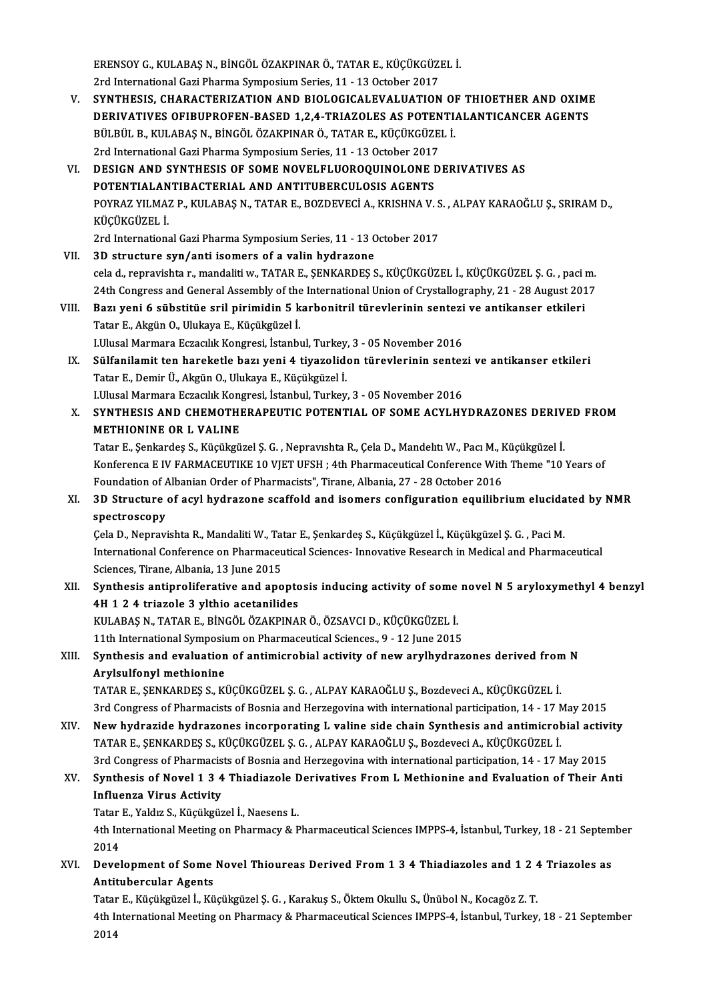ERENSOY G., KULABAŞ N., BİNGÖL ÖZAKPINAR Ö., TATAR E., KÜÇÜKGÜZEL İ.<br>2rd International Cazi Pharma Sumnasium Sarias, 11, 12 Ostabar 2017 ERENSOY G., KULABAŞ N., BİNGÖL ÖZAKPINAR Ö., TATAR E., KÜÇÜKGÜZI<br>2rd International Gazi Pharma Symposium Series, 11 - 13 October 2017<br>SYNTHESIS, GHARACTERIZATION AND BIOLOGICALEVALUATION

- ERENSOY G., KULABAŞ N., BİNGÖL ÖZAKPINAR Ö., TATAR E., KÜÇÜKGÜZEL İ.<br>2rd International Gazi Pharma Symposium Series, 11 13 October 2017<br>V. SYNTHESIS, CHARACTERIZATION AND BIOLOGICALEVALUATION OF THIOETHER AND OXIME<br>DERIV 2rd International Gazi Pharma Symposium Series, 11 - 13 October 2017<br>SYNTHESIS, CHARACTERIZATION AND BIOLOGICALEVALUATION OF THIOETHER AND OXIMI<br>DERIVATIVES OFIBUPROFEN-BASED 1,2,4-TRIAZOLES AS POTENTIALANTICANCER AGENTS<br>P SYNTHESIS, CHARACTERIZATION AND BIOLOGICALEVALUATION OI<br>DERIVATIVES OFIBUPROFEN-BASED 1,2,4-TRIAZOLES AS POTENTI.<br>BÜLBÜL B., KULABAŞ N., BİNGÖL ÖZAKPINAR Ö., TATAR E., KÜÇÜKGÜZEL İ.<br>2rd International Cazi Bharma Sumnasium DERIVATIVES OFIBUPROFEN-BASED 1,2,4-TRIAZOLES AS POTEN<br>BÜLBÜL B., KULABAŞ N., BİNGÖL ÖZAKPINAR Ö., TATAR E., KÜÇÜKGÜZE<br>2rd International Gazi Pharma Symposium Series, 11 - 13 October 2017<br>DESICN AND SYNTHESIS OF SOME NOVEL BÜLBÜL B., KULABAŞ N., BİNGÖL ÖZAKPINAR Ö., TATAR E., KÜÇÜKGÜZEL İ.<br>2rd International Gazi Pharma Symposium Series, 11 - 13 October 2017<br>VI. DESIGN AND SYNTHESIS OF SOME NOVELFLUOROQUINOLONE DERIVATIVES AS<br>POTENTIAL ANTIBA
- 2rd International Gazi Pharma Symposium Series, 11 13 October 2017<br>DESIGN AND SYNTHESIS OF SOME NOVELFLUOROQUINOLONE I<br>POTENTIALANTIBACTERIAL AND ANTITUBERCULOSIS AGENTS<br>POYPAZ VILMAZ PLKII ARAS NLTATAR ELPOZDEVECÍ ALKRI DESIGN AND SYNTHESIS OF SOME NOVELFLUOROQUINOLONE DERIVATIVES AS<br>POTENTIALANTIBACTERIAL AND ANTITUBERCULOSIS AGENTS<br>POYRAZ YILMAZ P., KULABAŞ N., TATAR E., BOZDEVECİ A., KRISHNA V. S. , ALPAY KARAOĞLU Ş., SRIRAM D.,<br>VÜÇÜVÇ POTENTIALAN<br>POYRAZ YILMAZ<br>KÜÇÜKGÜZEL İ.<br>2rd Internatione POYRAZ YILMAZ P., KULABAŞ N., TATAR E., BOZDEVECİ A., KRISHNA V. S<br>KÜÇÜKGÜZEL İ.<br>2rd International Gazi Pharma Symposium Series, 11 - 13 October 2017<br>2D strugture sun (anti-isomers of a valin hudragene KÜÇÜKGÜZEL İ.<br>2rd International Gazi Pharma Symposium Series, 11 - 13 October 2017<br>VII. 3D structure syn/anti isomers of a valin hydrazone
- cela d., repravishta r.,mandalitiw.,TATARE.,ŞENKARDEŞ S.,KÜÇÜKGÜZEL İ.,KÜÇÜKGÜZEL Ş.G. ,pacim. 3D structure syn/anti isomers of a valin hydrazone<br>cela d., repravishta r., mandaliti w., TATAR E., ŞENKARDEŞ S., KÜÇÜKGÜZEL İ., KÜÇÜKGÜZEL Ş. G. , paci m.<br>24th Congress and General Assembly of the International Union of C cela d., repravishta r., mandaliti w., TATAR E., ŞENKARDEŞ S., KÜÇÜKGÜZEL İ., KÜÇÜKGÜZEL Ş. G. , paci 1<br>24th Congress and General Assembly of the International Union of Crystallography, 21 - 28 August 201<br>2011. Bazı ye
- 24th Congress and General Assembly of the<br>Bazı yeni 6 sübstitüe sril pirimidin 5 k<br>Tatar E., Akgün O., Ulukaya E., Küçükgüzel İ.<br>Hillyeal Marmara Estasılık Kanstesi İstanbı Bazı yeni 6 sübstitüe sril pirimidin 5 karbonitril türevlerinin sentezi<br>Tatar E., Akgün O., Ulukaya E., Küçükgüzel İ.<br>LUlusal Marmara Eczacılık Kongresi, İstanbul, Turkey, 3 - 05 November 2016<br>Sülfanilamit tan banakatla ba Tatar E., Akgün O., Ulukaya E., Küçükgüzel İ.<br>I.Ulusal Marmara Eczacılık Kongresi, İstanbul, Turkey, 3 - 05 November 2016<br>IX. Sülfanilamit ten hareketle bazı yeni 4 tiyazolidon türevlerinin sentezi ve antikanser etkile
- Tatar E.,DemirÜ.,AkgünO.,UlukayaE.,Küçükgüzel İ. I.Ulusal Marmara Eczacılık Kongresi, İstanbul, Turkey, 3 - 05 November 2016 Tatar E., Demir Ü., Akgün O., Ulukaya E., Küçükgüzel İ.<br>I.Ulusal Marmara Eczacılık Kongresi, İstanbul, Turkey, 3 - 05 November 2016<br>X. SYNTHESIS AND CHEMOTHERAPEUTIC POTENTIAL OF SOME ACYLHYDRAZONES DERIVED FROM<br>METHIONINE
- LUlusal Marmara Eczacılık Kon<br>SYNTHESIS AND CHEMOTHI<br>METHIONINE OR L VALINE<br>Tatar E. Sankardes S. Küçükçü SYNTHESIS AND CHEMOTHERAPEUTIC POTENTIAL OF SOME ACYLHYDRAZONES DERIV<br>METHIONINE OR L VALINE<br>Tatar E., Şenkardeş S., Küçükgüzel Ş. G. , Nepravıshta R., Çela D., Mandelıtı W., Pacı M., Küçükgüzel İ.<br>Konforonca E.IV EARMACEU

**METHIONINE OR L VALINE**<br>Tatar E., Şenkardeş S., Küçükgüzel Ş. G. , Nepravıshta R., Çela D., Mandelıtı W., Pacı M., Küçükgüzel İ.<br>Konferenca E IV FARMACEUTIKE 10 VJET UFSH ; 4th Pharmaceutical Conference With Theme "10 Yea Tatar E., Şenkardeş S., Küçükgüzel Ş. G., Nepravıshta R., Çela D., Mandelıtı W., Pacı M., Küçükgüzel İ. Konferenca E IV FARMACEUTIKE 10 VJET UFSH ; 4th Pharmaceutical Conference With Theme "10 Years of<br>Foundation of Albanian Order of Pharmacists", Tirane, Albania, 27 - 28 October 2016<br>XI. 3D Structure of acyl hydrazone scaff

# Foundation of Albanian Order of Pharmacists", Tirane, Albania, 27 - 28 October 2016<br>3D Structure of acyl hydrazone scaffold and isomers configuration equilibrium elucida<br>spectroscopy<br>Cela D., Nepravishta R., Mandaliti W., 3D Structure of acyl hydrazone scaffold and isomers configuration equilibrium elucida<br>spectroscopy<br>Çela D., Nepravishta R., Mandaliti W., Tatar E., Şenkardeş S., Küçükgüzel İ., Küçükgüzel Ş. G. , Paci M.<br>International Conf

spectroscopy<br>Çela D., Nepravishta R., Mandaliti W., Tatar E., Şenkardeş S., Küçükgüzel İ., Küçükgüzel Ş. G. , Paci M.<br>International Conference on Pharmaceutical Sciences- Innovative Research in Medical and Pharmaceutical<br>S Cela D., Nepravishta R., Mandaliti W., Tat<br>International Conference on Pharmaceu<br>Sciences, Tirane, Albania, 13 June 2015<br>Synthesis antinneliferative and ane International Conference on Pharmaceutical Sciences- Innovative Research in Medical and Pharmaceutical<br>Sciences, Tirane, Albania, 13 June 2015<br>XII. Synthesis antiproliferative and apoptosis inducing activity of some novel

Sciences, Tirane, Albania, 13 June 2015<br>Synthesis antiproliferative and apopto<br>4H 1 2 4 triazole 3 ylthio acetanilides<br>FULAPAS N. TATAR E. PINGÖLÖZAFRINA Synthesis antiproliferative and apoptosis inducing activity of some<br>4H 1 2 4 triazole 3 ylthio acetanilides<br>KULABAŞ N., TATAR E., BİNGÖL ÖZAKPINAR Ö., ÖZSAVCI D., KÜÇÜKGÜZEL İ.<br>11th International Sumnesium en Pharmaseutisa 11th International Sylthio acetanilides<br>11th International Symposium on Pharmaceutical Sciences., 9 - 12 June 2015<br>11th International Symposium on Pharmaceutical Sciences., 9 - 12 June 2015

## KULABAŞ N., TATAR E., BİNGÖL ÖZAKPINAR Ö., ÖZSAVCI D., KÜÇÜKGÜZEL İ.<br>11th International Symposium on Pharmaceutical Sciences., 9 - 12 June 2015<br>XIII. Synthesis and evaluation of antimicrobial activity of new arylhydrazones 11th International Symposit<br>Synthesis and evaluation<br>Arylsulfonyl methionine<br>TATAR E. SENKARDES S. KI Synthesis and evaluation of antimicrobial activity of new arylhydrazones derived fron<br>Arylsulfonyl methionine<br>TATAR E., ŞENKARDEŞ S., KÜÇÜKGÜZEL Ş. G. , ALPAY KARAOĞLU Ş., Bozdeveci A., KÜÇÜKGÜZEL İ.<br><sup>2rd</sup> Congress of Phar

Arylsulfonyl methionine<br>TATAR E., ŞENKARDEŞ S., KÜÇÜKGÜZEL Ş. G. , ALPAY KARAOĞLU Ş., Bozdeveci A., KÜÇÜKGÜZEL İ.<br>3rd Congress of Pharmacists of Bosnia and Herzegovina with international participation, 14 - 17 May 2015<br>Nav TATAR E., ŞENKARDEŞ S., KÜÇÜKGÜZEL Ş. G. , ALPAY KARAOĞLU Ş., Bozdeveci A., KÜÇÜKGÜZEL İ.<br>3rd Congress of Pharmacists of Bosnia and Herzegovina with international participation, 14 - 17 May 2015<br>XIV. New hydrazide hydrazon

3rd Congress of Pharmacists of Bosnia and Herzegovina with international participation, 14 - 17 N<br>New hydrazide hydrazones incorporating L valine side chain Synthesis and antimicrol<br>TATAR E., ŞENKARDEŞ S., KÜÇÜKGÜZEL Ş. G. New hydrazide hydrazones incorporating L valine side chain Synthesis and antimicrobial activi<br>TATAR E., ŞENKARDEŞ S., KÜÇÜKGÜZEL Ş. G. , ALPAY KARAOĞLU Ş., Bozdeveci A., KÜÇÜKGÜZEL İ.<br>3rd Congress of Pharmacists of Bosnia TATAR E., ŞENKARDEŞ S., KÜÇÜKGÜZEL Ş. G. , ALPAY KARAOĞLU Ş., Bozdeveci A., KÜÇÜKGÜZEL İ.<br>3rd Congress of Pharmacists of Bosnia and Herzegovina with international participation, 14 - 17 May 2015<br>XV. Synthesis of Novel 1 3

# 3rd Congress of Pharmacis<br>Synthesis of Novel 1 3 4<br>Influenza Virus Activity<br>Tatar E. Yoldus & Küsüksüs Synthesis of Novel 1 3 4 Thiadiazole <mark>E</mark><br>Influenza Virus Activity<br>Tatar E., Yaldız S., Küçükgüzel İ., Naesens L.<br>4th International Meeting en Bharmagu & B

Tatar E., Yaldız S., Küçükgüzel İ., Naesens L.

Influenza Virus Activity<br>Tatar E., Yaldız S., Küçükgüzel İ., Naesens L.<br>4th International Meeting on Pharmacy & Pharmaceutical Sciences IMPPS-4, İstanbul, Turkey, 18 - 21 September<br>2014 4th International Meeting on Pharmacy & Pharmaceutical Sciences IMPPS-4, İstanbul, Turkey, 18 - 21 Septem<br>2014<br>XVI. Development of Some Novel Thioureas Derived From 1 3 4 Thiadiazoles and 1 2 4 Triazoles as

2014<br>Development of Some<br>Antitubercular Agents<br>Teter E. Küsüksisel İ. Kü Development of Some Novel Thioureas Derived From 1 3 4 Thiadiazoles and 1 2 4<br>Antitubercular Agents<br>Tatar E., Küçükgüzel İ., Küçükgüzel Ş. G. , Karakuş S., Öktem Okullu S., Ünübol N., Kocagöz Z. T.<br>4th International Meetin

Antitubercular Agents<br>Tatar E., Küçükgüzel İ., Küçükgüzel Ş. G. , Karakuş S., Öktem Okullu S., Ünübol N., Kocagöz Z. T.<br>4th International Meeting on Pharmacy & Pharmaceutical Sciences IMPPS-4, İstanbul, Turkey, 18 - 21 Sep Tatar<br>4th Iı<br>2014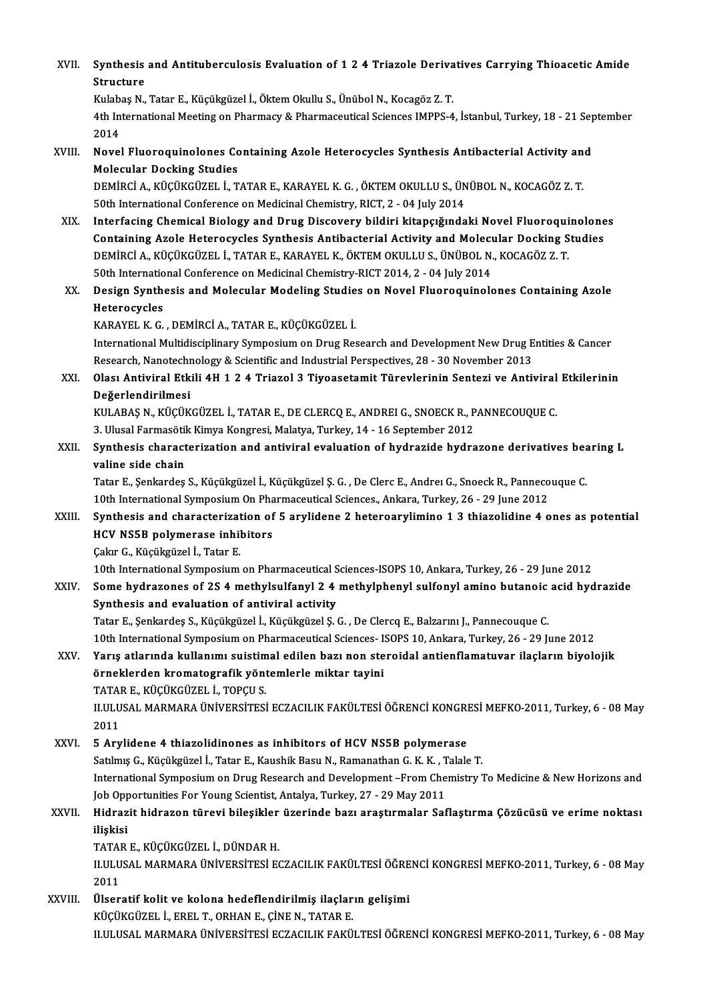| XVII.   | Synthesis and Antituberculosis Evaluation of 1 2 4 Triazole Derivatives Carrying Thioacetic Amide<br><b>Structure</b>                                                                                                                                                                       |
|---------|---------------------------------------------------------------------------------------------------------------------------------------------------------------------------------------------------------------------------------------------------------------------------------------------|
|         | Kulabaş N., Tatar E., Küçükgüzel İ., Öktem Okullu S., Ünübol N., Kocagöz Z. T.                                                                                                                                                                                                              |
|         | 4th International Meeting on Pharmacy & Pharmaceutical Sciences IMPPS-4, İstanbul, Turkey, 18 - 21 September<br>2014                                                                                                                                                                        |
| XVIII.  | Novel Fluoroquinolones Containing Azole Heterocycles Synthesis Antibacterial Activity and<br><b>Molecular Docking Studies</b>                                                                                                                                                               |
|         | DEMIRCI A., KÜÇÜKGÜZEL İ., TATAR E., KARAYEL K. G. , ÖKTEM OKULLU S., ÜNÜBOL N., KOCAGÖZ Z. T.<br>50th International Conference on Medicinal Chemistry, RICT, 2 - 04 July 2014                                                                                                              |
| XIX.    | Interfacing Chemical Biology and Drug Discovery bildiri kitapçığındaki Novel Fluoroquinolones<br>Containing Azole Heterocycles Synthesis Antibacterial Activity and Molecular Docking Studies<br>DEMIRCI A., KÜÇÜKGÜZEL İ., TATAR E., KARAYEL K., ÖKTEM OKULLU S., ÜNÜBOL N., KOCAGÖZ Z. T. |
| XX.     | 50th International Conference on Medicinal Chemistry-RICT 2014, 2 - 04 July 2014<br>Design Synthesis and Molecular Modeling Studies on Novel Fluoroquinolones Containing Azole                                                                                                              |
|         | Heterocycles                                                                                                                                                                                                                                                                                |
|         | KARAYEL K. G., DEMİRCİ A., TATAR E., KÜÇÜKGÜZEL İ.                                                                                                                                                                                                                                          |
|         | International Multidisciplinary Symposium on Drug Research and Development New Drug Entities & Cancer<br>Research, Nanotechnology & Scientific and Industrial Perspectives, 28 - 30 November 2013                                                                                           |
| XXI.    | Olası Antiviral Etkili 4H 1 2 4 Triazol 3 Tiyoasetamit Türevlerinin Sentezi ve Antiviral Etkilerinin                                                                                                                                                                                        |
|         | Değerlendirilmesi                                                                                                                                                                                                                                                                           |
|         | KULABAŞ N., KÜÇÜKGÜZEL İ., TATAR E., DE CLERCQ E., ANDREI G., SNOECK R., PANNECOUQUE C.                                                                                                                                                                                                     |
|         | 3. Ulusal Farmasötik Kimya Kongresi, Malatya, Turkey, 14 - 16 September 2012                                                                                                                                                                                                                |
| XXII.   | Synthesis characterization and antiviral evaluation of hydrazide hydrazone derivatives bearing L                                                                                                                                                                                            |
|         | valine side chain                                                                                                                                                                                                                                                                           |
|         | Tatar E., Şenkardeş S., Küçükgüzel İ., Küçükgüzel Ş. G. , De Clerc E., Andreı G., Snoeck R., Pannecouque C.                                                                                                                                                                                 |
|         | 10th International Symposium On Pharmaceutical Sciences., Ankara, Turkey, 26 - 29 June 2012                                                                                                                                                                                                 |
| XXIII.  | Synthesis and characterization of 5 arylidene 2 heteroarylimino 1 3 thiazolidine 4 ones as potential                                                                                                                                                                                        |
|         | HCV NS5B polymerase inhibitors                                                                                                                                                                                                                                                              |
|         | Cakır G. Kücükgüzel İ. Tatar E.                                                                                                                                                                                                                                                             |
| XXIV.   | 10th International Symposium on Pharmaceutical Sciences-ISOPS 10, Ankara, Turkey, 26 - 29 June 2012<br>Some hydrazones of 2S 4 methylsulfanyl 2 4 methylphenyl sulfonyl amino butanoic acid hydrazide                                                                                       |
|         | Synthesis and evaluation of antiviral activity                                                                                                                                                                                                                                              |
|         | Tatar E., Şenkardeş S., Küçükgüzel İ., Küçükgüzel Ş. G. , De Clercq E., Balzarını J., Pannecouque C.                                                                                                                                                                                        |
| XXV.    | 10th International Symposium on Pharmaceutical Sciences- ISOPS 10, Ankara, Turkey, 26 - 29 June 2012<br>Yarış atlarında kullanımı suistimal edilen bazı non steroidal antienflamatuvar ilaçların biyolojik                                                                                  |
|         | örneklerden kromatografik yöntemlerle miktar tayini<br>TATAR E., KÜÇÜKGÜZEL İ., TOPÇU S.                                                                                                                                                                                                    |
|         | II.ULUSAL MARMARA ÜNİVERSİTESİ ECZACILIK FAKÜLTESİ ÖĞRENCİ KONGRESİ MEFKO-2011, Turkey, 6 - 08 May                                                                                                                                                                                          |
|         | 2011                                                                                                                                                                                                                                                                                        |
| XXVI.   | 5 Arylidene 4 thiazolidinones as inhibitors of HCV NS5B polymerase                                                                                                                                                                                                                          |
|         | Satılmış G., Küçükgüzel İ., Tatar E., Kaushik Basu N., Ramanathan G. K. K., Talale T.                                                                                                                                                                                                       |
|         | International Symposium on Drug Research and Development -From Chemistry To Medicine & New Horizons and                                                                                                                                                                                     |
|         | Job Opportunities For Young Scientist, Antalya, Turkey, 27 - 29 May 2011                                                                                                                                                                                                                    |
| XXVII.  | Hidrazit hidrazon türevi bileşikler üzerinde bazı araştırmalar Saflaştırma Çözücüsü ve erime noktası                                                                                                                                                                                        |
|         | ilişkisi                                                                                                                                                                                                                                                                                    |
|         | TATAR E., KÜÇÜKGÜZEL İ., DÜNDAR H.                                                                                                                                                                                                                                                          |
|         | II.ULUSAL MARMARA ÜNIVERSITESI ECZACILIK FAKÜLTESI ÖĞRENCI KONGRESI MEFKO-2011, Turkey, 6 - 08 May                                                                                                                                                                                          |
|         | 2011                                                                                                                                                                                                                                                                                        |
| XXVIII. | Ülseratif kolit ve kolona hedeflendirilmiş ilaçların gelişimi                                                                                                                                                                                                                               |
|         | KÜÇÜKGÜZEL İ., EREL T., ORHAN E., ÇİNE N., TATAR E.                                                                                                                                                                                                                                         |
|         | II.ULUSAL MARMARA ÜNIVERSITESI ECZACILIK FAKÜLTESI ÖĞRENCI KONGRESI MEFKO-2011, Turkey, 6 - 08 May                                                                                                                                                                                          |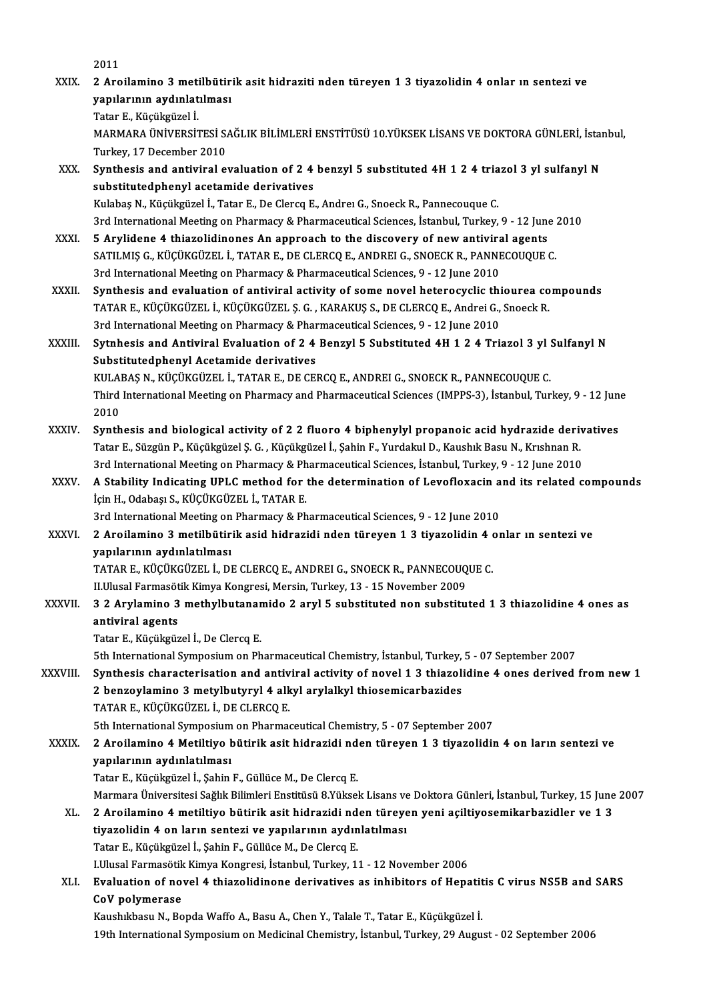2011

2011<br>XXIX. 2 Aroilamino 3 metilbütirik asit hidraziti nden türeyen 1 3 tiyazolidin 4 onlar ın sentezi ve<br>xanılanının avdınlatılması 2011<br>2 Aroilamino 3 metilbütir<br>yapılarının aydınlatılması<br>Tatar E. Küsüksüseli 2 Aroilamino 3 meti<br>yapılarının aydınlat<br>Tatar E., Küçükgüzel İ.<br>MARMARA ÜNİVERSİ yapılarının aydınlatılması<br>Tatar E., Küçükgüzel İ.<br>MARMARA ÜNİVERSİTESİ SAĞLIK BİLİMLERİ ENSTİTÜSÜ 10.YÜKSEK LİSANS VE DOKTORA GÜNLERİ, İstanbul,<br>Turkay, 17 Desember 2010 Tatar E., Küçükgüzel İ.<br>MARMARA ÜNİVERSİTESİ S*ı*<br>Turkey, 17 December 2010<br>Sunthesis and antiviral ol MARMARA ÜNIVERSITESI SAĞLIK BILIMLERI ENSTITÜSÜ 10.YÜKSEK LISANS VE DOKTORA GÜNLERI, İstan<br>Turkey, 17 December 2010<br>XXX. Synthesis and antiviral evaluation of 2 4 benzyl 5 substituted 4H 1 2 4 triazol 3 yl sulfanyl N<br>subst Turkey, 17 December 2010<br>Synthesis and antiviral evaluation of 2 4 benzyl 5 substituted 4H 1 2 4 triazol 3 yl sulfanyl N<br>substitutedphenyl acetamide derivatives KulabaşN.,Küçükgüzel İ.,Tatar E.,DeClercqE.,AndreıG.,SnoeckR.,PannecouqueC. substitutedphenyl acetamide derivatives<br>Kulabaş N., Küçükgüzel İ., Tatar E., De Clercq E., Andreı G., Snoeck R., Pannecouque C.<br>3rd International Meeting on Pharmacy & Pharmaceutical Sciences, İstanbul, Turkey, 9 - 12 June Kulabaş N., Küçükgüzel İ., Tatar E., De Clercq E., Andrei G., Snoeck R., Pannecouque C.<br>3rd International Meeting on Pharmacy & Pharmaceutical Sciences, İstanbul, Turkey, 9 - 12 June<br>XXXI. 5 Arylidene 4 thiazolidinones An 3rd International Meeting on Pharmacy & Pharmaceutical Sciences, İstanbul, Turkey, 9 - 12 June :<br>5 Arylidene 4 thiazolidinones An approach to the discovery of new antiviral agents<br>SATILMIŞ G., KÜÇÜKGÜZEL İ., TATAR E., DE C 5 Arylidene 4 thiazolidinones An approach to the discovery of new antiviral agents<br>SATILMIŞ G., KÜÇÜKGÜZEL İ., TATAR E., DE CLERCQ E., ANDREI G., SNOECK R., PANNECOUQUE C.<br>3rd International Meeting on Pharmacy & Pharmaceut SATILMIŞ G., KÜÇÜKGÜZEL İ., TATAR E., DE CLERCQ E., ANDREI G., SNOECK R., PANNECOUQUE C.<br>3rd International Meeting on Pharmacy & Pharmaceutical Sciences, 9 - 12 June 2010<br>XXXII. Synthesis and evaluation of antiviral activi 3rd International Meeting on Pharmacy & Pharmaceutical Sciences, 9 - 12 June 2010<br>Synthesis and evaluation of antiviral activity of some novel heterocyclic thiourea co<br>TATAR E., KÜÇÜKGÜZEL İ., KÜÇÜKGÜZEL Ş.G. , KARAKUŞ S., Synthesis and evaluation of antiviral activity of some novel heterocyclic thind:<br>TATAR E., KÜÇÜKGÜZEL İ., KÜÇÜKGÜZEL Ş. G. , KARAKUŞ S., DE CLERCQ E., Andrei G.,<br>3rd International Meeting on Pharmacy & Pharmaceutical Scien TATAR E., KÜÇÜKGÜZEL İ., KÜÇÜKGÜZEL Ş. G. , KARAKUŞ S., DE CLERCQ E., Andrei G., Snoeck R.<br>3rd International Meeting on Pharmacy & Pharmaceutical Sciences, 9 - 12 June 2010<br>XXXIII. Sytnhesis and Antiviral Evaluation of 2 4 3rd International Meeting on Pharmacy & Pharmaceutical Sciences, 9 - 12 June 2010<br>Sytnhesis and Antiviral Evaluation of 2 4 Benzyl 5 Substituted 4H 1 2 4 Triazol 3 yl :<br>Substitutedphenyl Acetamide derivatives<br>KULABAŞ N., K Sytnhesis and Antiviral Evaluation of 2 4 Benzyl 5 Substituted 4H 1 2 4 Triazol 3 yl :<br>Substitutedphenyl Acetamide derivatives<br>KULABAŞ N., KÜÇÜKGÜZEL İ., TATAR E., DE CERCQ E., ANDREI G., SNOECK R., PANNECOUQUE C.<br>Third In Substitutedphenyl Acetamide derivatives<br>KULABAŞ N., KÜÇÜKGÜZEL İ., TATAR E., DE CERCQ E., ANDREI G., SNOECK R., PANNECOUQUE C.<br>Third International Meeting on Pharmacy and Pharmaceutical Sciences (IMPPS-3), İstanbul, Turkey KULA<br>Third<br>2010<br>Synth Third International Meeting on Pharmacy and Pharmaceutical Sciences (IMPPS-3), İstanbul, Turkey, 9 - 12 Jun<br>2010<br>XXXIV. Synthesis and biological activity of 2 2 fluoro 4 biphenylyl propanoic acid hydrazide derivatives<br>Tata 2010<br>Synthesis and biological activity of 2 2 fluoro 4 biphenylyl propanoic acid hydrazide derivatives<br>Tatar E., Süzgün P., Küçükgüzel Ş. G. , Küçükgüzel İ., Şahin F., Yurdakul D., Kaushık Basu N., Krıshnan R. 3rd International Meeting on Pharmacy & Pharmaceutical Sciences, İstanbul, Turkey, 9 - 12 June 2010 Tatar E., Süzgün P., Küçükgüzel Ş. G. , Küçükgüzel İ., Şahin F., Yurdakul D., Kaushık Basu N., Krıshnan R.<br>3rd International Meeting on Pharmacy & Pharmaceutical Sciences, İstanbul, Turkey, 9 - 12 June 2010<br>XXXV. A Stabili 3rd International Meeting on Pharmacy & Ph<br>**A Stability Indicating UPLC method for**<br>İçin H., Odabaşı S., KÜÇÜKGÜZEL İ., TATAR E.<br><sup>2nd International Meeting on Pharmagy & Ph</sup> A Stability Indicating UPLC method for the determination of Levofloxacin a<br>Için H., Odabaşı S., KÜÇÜKGÜZEL İ., TATAR E.<br>3rd International Meeting on Pharmacy & Pharmaceutical Sciences, 9 - 12 June 2010<br>2. Arailamina 3. mat İçin H., Odabaşı S., KÜÇÜKGÜZEL İ., TATAR E.<br>3rd International Meeting on Pharmacy & Pharmaceutical Sciences, 9 - 12 June 2010<br>XXXVI. 2 Aroilamino 3 metilbütirik asid hidrazidi nden türeyen 1 3 tiyazolidin 4 onlar ın s yapılarının aydınlatılması 2 Aroilamino 3 metilbütirik asid hidrazidi nden türeyen 1 3 tiyazolidin 4 d<br>yapılarının aydınlatılması<br>TATAR E., KÜÇÜKGÜZEL İ., DE CLERCQ E., ANDREI G., SNOECK R., PANNECOUQUE C.<br>H Ulusal Farmasötik Kimya Kongresi Marsin T yapılarının aydınlatılması<br>TATAR E., KÜÇÜKGÜZEL İ., DE CLERCQ E., ANDREI G., SNOECK R., PANNECOUQ<br>II.Ulusal Farmasötik Kimya Kongresi, Mersin, Turkey, 13 - 15 November 2009<br>2.2 Arylamine 2 methylbutanemide 2 ervl 5 subetit TATAR E., KÜÇÜKGÜZEL İ., DE CLERCQ E., ANDREI G., SNOECK R., PANNECOUQUE C.<br>II.Ulusal Farmasötik Kimya Kongresi, Mersin, Turkey, 13 - 15 November 2009<br>XXXVII. 3 2 Arylamino 3 methylbutanamido 2 aryl 5 substituted non subst II.Ulusal Farmasöt<br>3 2 Arylamino 3<br>antiviral agents<br>Tatar E. Küsüksüs 3 2 Arylamino 3 methylbutanar<br>antiviral agents<br>Tatar E., Küçükgüzel İ., De Clercq E.<br>Eth International Sumposium on Ph antiviral agents<br>Tatar E., Küçükgüzel İ., De Clercq E.<br>5th International Symposium on Pharmaceutical Chemistry, İstanbul, Turkey, 5 - 07 September 2007<br>Synthosis ebanastanisation and antivinal astivity of novel 1,2 thiaral Tatar E., Küçükgüzel İ., De Clercq E.<br>5th International Symposium on Pharmaceutical Chemistry, İstanbul, Turkey, 5 - 07 September 2007<br>3th International Symposium on Pharmaceutical Chemistry, İstanbul, Turkey, 5 - 07 Septe 5th International Symposium on Pharmaceutical Chemistry, İstanbul, Turkey,<br>Synthesis characterisation and antiviral activity of novel 1 3 thiazoli<br>2 benzoylamino 3 metylbutyryl 4 alkyl arylalkyl thiosemicarbazides<br>TATAR E, TATARE.,KÜÇÜKGÜZEL İ.,DECLERCQE. 5th International Symposium on Pharmaceutical Chemistry, 5 - 07 September 2007 XXXIX. 2 Aroilamino 4Metiltiyo bütirik asit hidrazidi nden türeyen 1 3 tiyazolidin 4 on ların sentezi ve yapılarının aydınlatılması Tatar E., Küçükgüzel İ., Şahin F., Güllüce M., De Clercq E. yapılarının aydınlatılması<br>Tatar E., Küçükgüzel İ., Şahin F., Güllüce M., De Clercq E.<br>Marmara Üniversitesi Sağlık Bilimleri Enstitüsü 8.Yüksek Lisans ve Doktora Günleri, İstanbul, Turkey, 15 June 2007<br>2. Arailamina 4. mat Tatar E., Küçükgüzel İ., Şahin F., Güllüce M., De Clercq E.<br>Marmara Üniversitesi Sağlık Bilimleri Enstitüsü 8.Yüksek Lisans ve Doktora Günleri, İstanbul, Turkey, 15 June<br>XL. 2 Aroilamino 4 metiltiyo bütirik asit hidraz Marmara Üniversitesi Sağlık Bilimleri Enstitüsü 8.Yüksek Lisans ve<br>2 Aroilamino 4 metiltiyo bütirik asit hidrazidi nden türeye<br>tiyazolidin 4 on ların sentezi ve yapılarının aydınlatılması<br>Tatar E. Küsüksüsel İ. Sahir E. Gü 2 Aroilamino 4 metiltiyo bütirik asit hidrazidi nden türeyen yeni açiltiyosemikarbazidler ve 1 3<br>tiyazolidin 4 on ların sentezi ve yapılarının aydınlatılması<br>Tatar E., Küçükgüzel İ., Şahin F., Güllüce M., De Clercq E. I.Ulusal Farmasötik Kimya Kongresi, İstanbul, Turkey, 11 - 12 November 2006 Tatar E., Küçükgüzel İ., Şahin F., Güllüce M., De Clercq E.<br>I.Ulusal Farmasötik Kimya Kongresi, İstanbul, Turkey, 11 - 12 November 2006<br>XLI. Evaluation of novel 4 thiazolidinone derivatives as inhibitors of Hepatitis C **LUlusal Farmasötik<br>Evaluation of no<br>CoV polymerase**<br>Kaveblibesu N. Bo Evaluation of novel 4 thiazolidinone derivatives as inhibitors of Hepatit<br>CoV polymerase<br>Kaushıkbasu N., Bopda Waffo A., Basu A., Chen Y., Talale T., Tatar E., Küçükgüzel İ.<br>10th International Sumnesium en Medisinal Chemis 00V polymerase<br>19th International Sama Waffo A., Basu A., Chen Y., Talale T., Tatar E., Küçükgüzel İ.<br>19th International Symposium on Medicinal Chemistry, İstanbul, Turkey, 29 August - 02 September 2006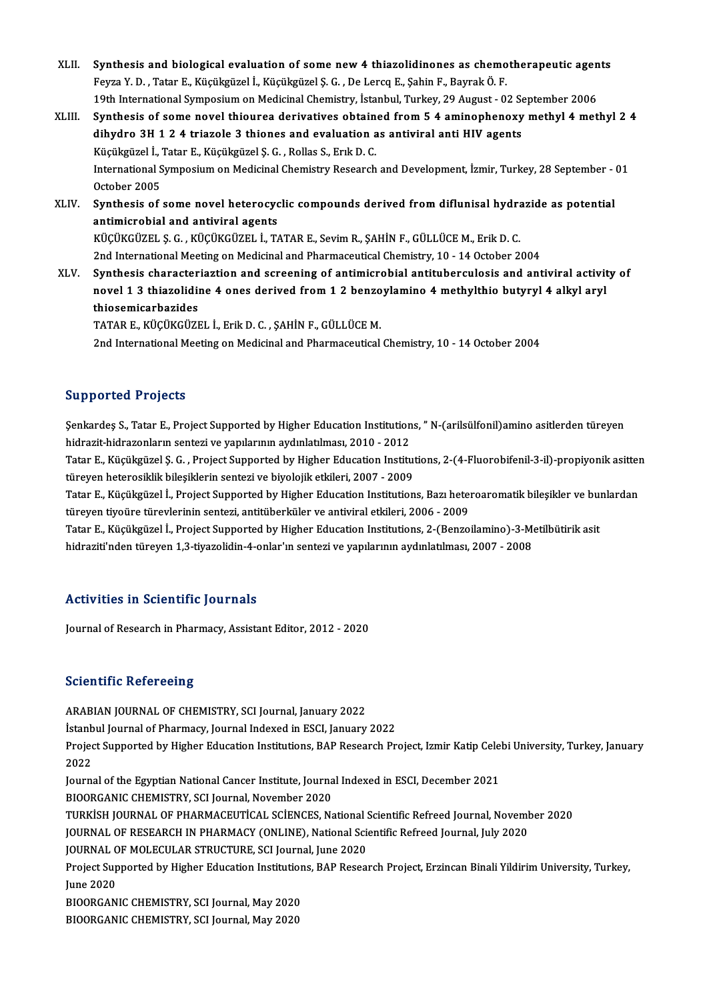- XLII. Synthesis and biological evaluation of some new 4 thiazolidinones as chemotherapeutic agents<br>Feure V.D., Totar E. Kügülgüsel i. Kügülgüsel S.C., De Large E. Sobin E. Beyrol: Ö. E. Synthesis and biological evaluation of some new 4 thiazolidinones as chemo<br>Feyza Y. D. , Tatar E., Küçükgüzel İ., Küçükgüzel Ş. G. , De Lercq E., Şahin F., Bayrak Ö. F.<br>19th International Sympesium en Medisinal Chemistry, Synthesis and biological evaluation of some new 4 thiazolidinones as chemotherapeutic agen<br>Feyza Y. D. , Tatar E., Küçükgüzel İ., Küçükgüzel Ş. G. , De Lercq E., Şahin F., Bayrak Ö. F.<br>19th International Symposium on Medic Feyza Y. D. , Tatar E., Küçükgüzel İ., Küçükgüzel Ş. G. , De Lercq E., Şahin F., Bayrak Ö. F.<br>19th International Symposium on Medicinal Chemistry, İstanbul, Turkey, 29 August - 02 September 2006<br>XLIII. Synthesis of some no
- 19th International Symposium on Medicinal Chemistry, İstanbul, Turkey, 29 August 02 September 2006<br>Synthesis of some novel thiourea derivatives obtained from 5 4 aminophenoxy methyl 4 met<br>dihydro 3H 1 2 4 triazole 3 thio Synthesis of some novel thiourea derivatives obtain<br>dihydro 3H 1 2 4 triazole 3 thiones and evaluation a<br>Küçükgüzel İ., Tatar E., Küçükgüzel Ş. G. , Rollas S., Erık D. C.<br>International Symnosium on Medicinal Chemistry Bese dihydro 3H 1 2 4 triazole 3 thiones and evaluation as antiviral anti HIV agents<br>Küçükgüzel İ., Tatar E., Küçükgüzel Ş. G. , Rollas S., Erık D. C.<br>International Symposium on Medicinal Chemistry Research and Development, İzm Küçükgüzel İ., '<br>International S<br>October 2005<br>Sunthosis of International Symposium on Medicinal Chemistry Research and Development, İzmir, Turkey, 28 September - October 2005<br>XLIV. Synthesis of some novel heterocyclic compounds derived from diflunisal hydrazide as potential<br>antimi

October 2005<br>Synthesis of some novel heterocyclic compounds derived from diflunisal hydra<br>antimicrobial and antiviral agents<br>KÜÇÜKGÜZEL Ş. G. , KÜÇÜKGÜZEL İ., TATAR E., Sevim R., ŞAHİN F., GÜLLÜCE M., Erik D. C. Synthesis of some novel heterocyclic compounds derived from diflunisal hydra<br>antimicrobial and antiviral agents<br>KÜÇÜKGÜZEL Ş.G. , KÜÇÜKGÜZEL İ., TATAR E., Sevim R., ŞAHİN F., GÜLLÜCE M., Erik D. C.<br>2nd International Meetin 2nd International Meeting on Medicinal and Pharmaceutical Chemistry, 10 - 14 October 2004

XLV. Synthesis characteriaztion and screening of antimicrobial antituberculosis and antiviral activity of 2nd International Meeting on Medicinal and Pharmaceutical Chemistry, 10 - 14 October 2004<br>Synthesis characteriaztion and screening of antimicrobial antituberculosis and antiviral activit<br>novel 1 3 thiazolidine 4 ones deriv Synthesis character<br>novel 1 3 thiazolidii<br>thiosemicarbazides<br>TATAP E. KÜÇÜKÇÜZI thiosemicarbazides<br>TATAR E., KÜÇÜKGÜZEL İ., Erik D. C. , ŞAHİN F., GÜLLÜCE M.

2nd International Meeting on Medicinal and Pharmaceutical Chemistry, 10 - 14 October 2004

### Supported Projects

Supported Projects<br>Şenkardeş S., Tatar E., Project Supported by Higher Education Institutions, " N-(arilsülfonil)amino asitlerden türeyen<br>hidragit hidragonların sentegi ve yapılarının aydınlatılması, 2010, 2012 Sapporton rrojoces<br>Senkardeş S., Tatar E., Project Supported by Higher Education Institution<br>hidrazit-hidrazonların sentezi ve yapılarının aydınlatılması, 2010 - 2012<br>Tatar E. Küçükgüsel S. C., Project Supported by Higher Şenkardeş S., Tatar E., Project Supported by Higher Education Institutions, " N-(arilsülfonil)amino asitlerden türeyen<br>hidrazit-hidrazonların sentezi ve yapılarının aydınlatılması, 2010 - 2012<br>Tatar E., Küçükgüzel Ş. G. ,

hidrazit-hidrazonların sentezi ve yapılarının aydınlatılması, 2010 - 2012<br>Tatar E., Küçükgüzel Ş. G. , Project Supported by Higher Education Institut<br>türeyen heterosiklik bileşiklerin sentezi ve biyolojik etkileri, 2007 - Tatar E., Küçükgüzel Ş. G. , Project Supported by Higher Education Institutions, 2-(4-Fluorobifenil-3-il)-propiyonik asitter<br>türeyen heterosiklik bileşiklerin sentezi ve biyolojik etkileri, 2007 - 2009<br>Tatar E., Küçükgüzel

türeyen heterosiklik bileşiklerin sentezi ve biyolojik etkileri, 2007 - 2009<br>Tatar E., Küçükgüzel İ., Project Supported by Higher Education Institutions, Bazı hetel<br>türeyen tiyoüre türevlerinin sentezi, antitüberküler ve a Tatar E., Küçükgüzel İ., Project Supported by Higher Education Institutions, Bazı heteroaromatik bileşikler ve buı<br>türeyen tiyoüre türevlerinin sentezi, antitüberküler ve antiviral etkileri, 2006 - 2009<br>Tatar E., Küçükgüze

türeyen tiyoüre türevlerinin sentezi, antitüberküler ve antiviral etkileri, 2006 - 2009<br>Tatar E., Küçükgüzel İ., Project Supported by Higher Education Institutions, 2-(Benzoilamino)-3-Metilbütirik asit<br>hidraziti'nden türey

## Activities in Scientific Journals

Journal of Research in Pharmacy, Assistant Editor, 2012 - 2020

#### **Scientific Refereeing**

ARABIAN JOURNAL OF CHEMISTRY, SCI Journal, January 2022 İstanbul Journal of Pharmacy, Journal Indexed in ESCI, January 2022 ARABIAN JOURNAL OF CHEMISTRY, SCI Journal, January 2022<br>İstanbul Journal of Pharmacy, Journal Indexed in ESCI, January 2022<br>Project Supported by Higher Education Institutions, BAP Research Project, Izmir Katip Celebi Unive İstanb<br>Projec<br>2022<br>Journ Project Supported by Higher Education Institutions, BAP Research Project, Izmir Katip Cele<br>2022<br>Journal of the Egyptian National Cancer Institute, Journal Indexed in ESCI, December 2021<br>PIOOPCANIC CHEMISTRY, SCI Journal Na 2022<br>Journal of the Egyptian National Cancer Institute, Journal Indexed in ESCI, December 2021<br>BIOORGANIC CHEMISTRY, SCI Journal, November 2020 Journal of the Egyptian National Cancer Institute, Journal Indexed in ESCI, December 2021<br>BIOORGANIC CHEMISTRY, SCI Journal, November 2020<br>TURKİSH JOURNAL OF PHARMACEUTİCAL SCİENCES, National Scientific Refreed Journal, No BIOORGANIC CHEMISTRY, SCI Journal, November 2020<br>TURKİSH JOURNAL OF PHARMACEUTİCAL SCİENCES, National Scientific Refreed Journal, Novemb<br>JOURNAL OF RESEARCH IN PHARMACY (ONLINE), National Scientific Refreed Journal, July 2 TURKISH JOURNAL OF PHARMACEUTICAL SCIENCES, National S<br>JOURNAL OF RESEARCH IN PHARMACY (ONLINE), National Sci<br>JOURNAL OF MOLECULAR STRUCTURE, SCI Journal, June 2020<br>Project Sunnerted by Higher Education Institutions, PAR P JOURNAL OF RESEARCH IN PHARMACY (ONLINE), National Scientific Refreed Journal, July 2020<br>JOURNAL OF MOLECULAR STRUCTURE, SCI Journal, June 2020<br>Project Supported by Higher Education Institutions, BAP Research Project, Erzi JOURNAL C<br>Project Sup<br>June 2020<br>PJOOPCAN Project Supported by Higher Education Institution<br>June 2020<br>BIOORGANIC CHEMISTRY, SCI Journal, May 2020<br>BIOORGANIC CHEMISTRY, SCI Journal, May 2020 June 2020<br>BIOORGANIC CHEMISTRY, SCI Journal, May 2020<br>BIOORGANIC CHEMISTRY, SCI Journal, May 2020